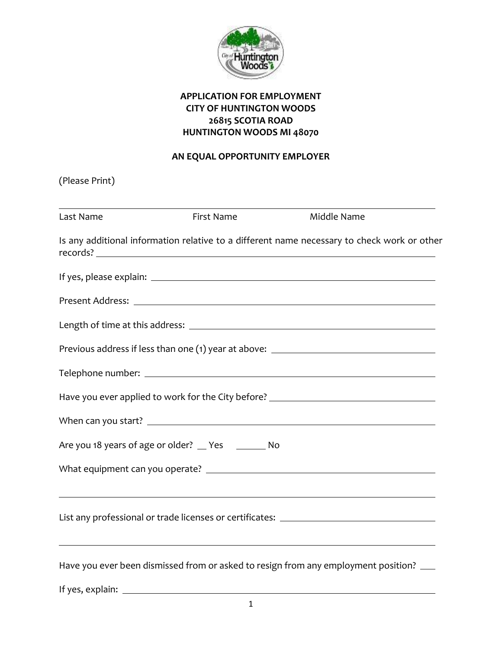

## **APPLICATION FOR EMPLOYMENT CITY OF HUNTINGTON WOODS 26815 SCOTIA ROAD HUNTINGTON WOODS MI 48070**

# **AN EQUAL OPPORTUNITY EMPLOYER**

| (Please Print) |                                                  |                                                                                             |
|----------------|--------------------------------------------------|---------------------------------------------------------------------------------------------|
| Last Name      | First Name                                       | Middle Name                                                                                 |
|                |                                                  | Is any additional information relative to a different name necessary to check work or other |
|                |                                                  |                                                                                             |
|                |                                                  |                                                                                             |
|                |                                                  |                                                                                             |
|                |                                                  | Previous address if less than one (1) year at above: ____________________________           |
|                |                                                  |                                                                                             |
|                |                                                  | Have you ever applied to work for the City before? _____________________________            |
|                |                                                  |                                                                                             |
|                | Are you 18 years of age or older? Thes Theory No |                                                                                             |
|                |                                                  |                                                                                             |
|                |                                                  | List any professional or trade licenses or certificates: ________________________           |
|                |                                                  | Have you ever been dismissed from or asked to resign from any employment position? __       |
|                |                                                  |                                                                                             |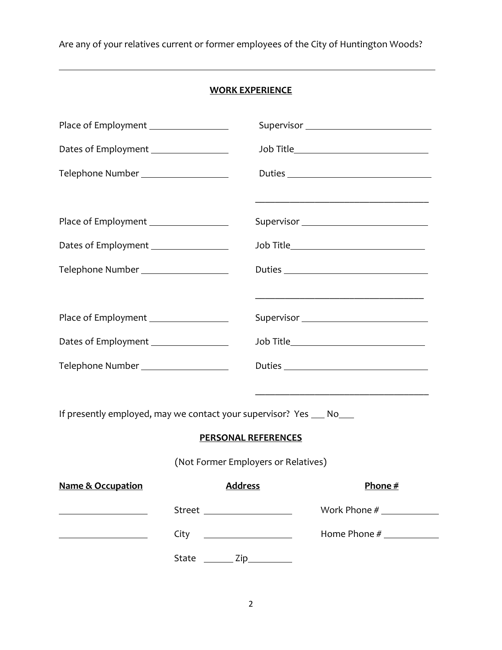Are any of your relatives current or former employees of the City of Huntington Woods?

### **WORK EXPERIENCE**

| Place of Employment _________________                              |                                     |                                                                                                                                                                                                                                                                                                                                                                                                                                                                                           |
|--------------------------------------------------------------------|-------------------------------------|-------------------------------------------------------------------------------------------------------------------------------------------------------------------------------------------------------------------------------------------------------------------------------------------------------------------------------------------------------------------------------------------------------------------------------------------------------------------------------------------|
| Dates of Employment ________________                               |                                     | Job Title________________________________                                                                                                                                                                                                                                                                                                                                                                                                                                                 |
| Telephone Number ___________________                               |                                     |                                                                                                                                                                                                                                                                                                                                                                                                                                                                                           |
| Place of Employment _________________                              |                                     | Supervisor _________________________________                                                                                                                                                                                                                                                                                                                                                                                                                                              |
| Dates of Employment ________________                               |                                     | Job Title________________________________                                                                                                                                                                                                                                                                                                                                                                                                                                                 |
| Telephone Number ___________________                               |                                     |                                                                                                                                                                                                                                                                                                                                                                                                                                                                                           |
|                                                                    |                                     |                                                                                                                                                                                                                                                                                                                                                                                                                                                                                           |
| Place of Employment _________________                              |                                     |                                                                                                                                                                                                                                                                                                                                                                                                                                                                                           |
| Dates of Employment ________________                               |                                     | Job Title___________________________________                                                                                                                                                                                                                                                                                                                                                                                                                                              |
| Telephone Number __________________                                |                                     | $Duties \begin{tabular}{@{}c@{}} \hline \multicolumn{3}{c}{} & \multicolumn{3}{c}{} & \multicolumn{3}{c}{} \\ \multicolumn{3}{c}{} & \multicolumn{3}{c}{} & \multicolumn{3}{c}{} \\ \multicolumn{3}{c}{} & \multicolumn{3}{c}{} & \multicolumn{3}{c}{} \\ \multicolumn{3}{c}{} & \multicolumn{3}{c}{} & \multicolumn{3}{c}{} \\ \multicolumn{3}{c}{} & \multicolumn{3}{c}{} & \multicolumn{3}{c}{} \\ \multicolumn{3}{c}{} & \multicolumn{3}{c}{} & \multicolumn{3}{c}{} \\ \multicolumn$ |
|                                                                    |                                     |                                                                                                                                                                                                                                                                                                                                                                                                                                                                                           |
| If presently employed, may we contact your supervisor? Yes __ No__ |                                     |                                                                                                                                                                                                                                                                                                                                                                                                                                                                                           |
|                                                                    | <b>PERSONAL REFERENCES</b>          |                                                                                                                                                                                                                                                                                                                                                                                                                                                                                           |
|                                                                    | (Not Former Employers or Relatives) |                                                                                                                                                                                                                                                                                                                                                                                                                                                                                           |
| <u>Name &amp; Occupation Address</u>                               |                                     | Phone #                                                                                                                                                                                                                                                                                                                                                                                                                                                                                   |
|                                                                    | Street ____________________         |                                                                                                                                                                                                                                                                                                                                                                                                                                                                                           |
|                                                                    | $City \t 2777$                      | Home Phone #                                                                                                                                                                                                                                                                                                                                                                                                                                                                              |
|                                                                    | State _________ Zip___________      |                                                                                                                                                                                                                                                                                                                                                                                                                                                                                           |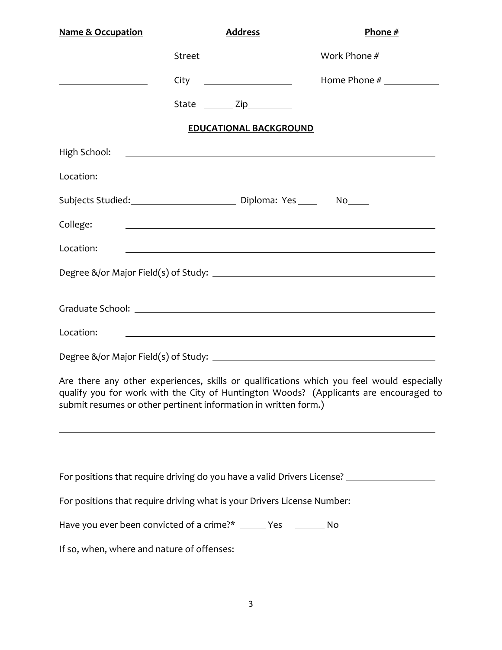| <b>Name &amp; Occupation</b>                                    | <b>Address</b>                                                                                                                                                                                                                       |                               | Phone $#$                                                                                                                                                                                                                            |
|-----------------------------------------------------------------|--------------------------------------------------------------------------------------------------------------------------------------------------------------------------------------------------------------------------------------|-------------------------------|--------------------------------------------------------------------------------------------------------------------------------------------------------------------------------------------------------------------------------------|
| <u> 1989 - Johann Barbara, martin a</u>                         | Street ____________________                                                                                                                                                                                                          |                               |                                                                                                                                                                                                                                      |
|                                                                 |                                                                                                                                                                                                                                      |                               | Home Phone #                                                                                                                                                                                                                         |
|                                                                 | State ________ Zip__________                                                                                                                                                                                                         |                               |                                                                                                                                                                                                                                      |
|                                                                 |                                                                                                                                                                                                                                      | <b>EDUCATIONAL BACKGROUND</b> |                                                                                                                                                                                                                                      |
| High School:                                                    |                                                                                                                                                                                                                                      |                               | <u> Alexandria de la contrada de la contrada de la contrada de la contrada de la contrada de la contrada de la c</u>                                                                                                                 |
| Location:                                                       |                                                                                                                                                                                                                                      |                               | <u> 1989 - Johann Stoff, fransk politik (f. 1989)</u>                                                                                                                                                                                |
| Subjects Studied: Chronic Communication Ciploma: Yes Chronic No |                                                                                                                                                                                                                                      |                               |                                                                                                                                                                                                                                      |
| College:                                                        | <u>state and the state of the state of the state of the state of the state of the state of the state of the state of the state of the state of the state of the state of the state of the state of the state of the state of the</u> |                               |                                                                                                                                                                                                                                      |
| Location:                                                       |                                                                                                                                                                                                                                      |                               | <u>state and the state of the state of the state of the state of the state of the state of the state of the state of the state of the state of the state of the state of the state of the state of the state of the state of the</u> |
|                                                                 |                                                                                                                                                                                                                                      |                               |                                                                                                                                                                                                                                      |
|                                                                 |                                                                                                                                                                                                                                      |                               |                                                                                                                                                                                                                                      |
| Location:                                                       |                                                                                                                                                                                                                                      |                               |                                                                                                                                                                                                                                      |
|                                                                 |                                                                                                                                                                                                                                      |                               |                                                                                                                                                                                                                                      |
| submit resumes or other pertinent information in written form.) |                                                                                                                                                                                                                                      |                               | Are there any other experiences, skills or qualifications which you feel would especially<br>qualify you for work with the City of Huntington Woods? (Applicants are encouraged to                                                   |
|                                                                 |                                                                                                                                                                                                                                      |                               | For positions that require driving do you have a valid Drivers License? _______________<br>For positions that require driving what is your Drivers License Number: _______________                                                   |
| Have you ever been convicted of a crime?* _____ Yes _______ No  |                                                                                                                                                                                                                                      |                               |                                                                                                                                                                                                                                      |
| If so, when, where and nature of offenses:                      |                                                                                                                                                                                                                                      |                               |                                                                                                                                                                                                                                      |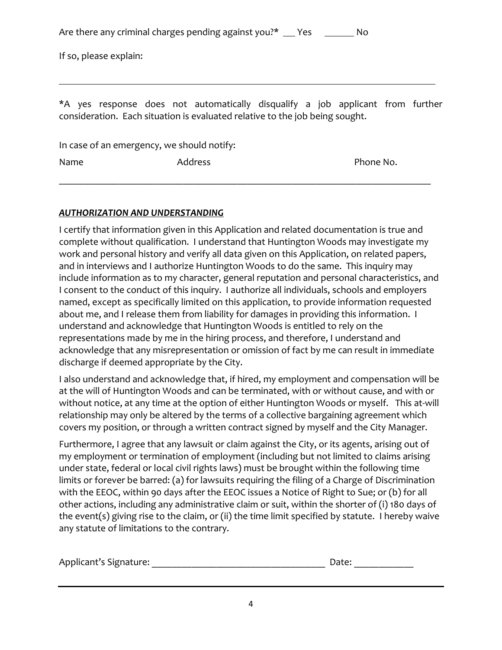|  |  | Are there any criminal charges pending against you?* | <b>Present Service Service Service Service Service Service Service Service Service Service Service Service Servi</b> | No |
|--|--|------------------------------------------------------|----------------------------------------------------------------------------------------------------------------------|----|
|--|--|------------------------------------------------------|----------------------------------------------------------------------------------------------------------------------|----|

If so, please explain:

\*A yes response does not automatically disqualify a job applicant from further consideration. Each situation is evaluated relative to the job being sought.

In case of an emergency, we should notify:

Name **Address Phone No.** And Address **Phone No. Phone No.** 

\_\_\_\_\_\_\_\_\_\_\_\_\_\_\_\_\_\_\_\_\_\_\_\_\_\_\_\_\_\_\_\_\_\_\_\_\_\_\_\_\_\_\_\_\_\_\_\_\_\_\_\_\_\_\_\_\_\_\_\_\_\_\_\_\_\_\_\_\_\_\_\_\_\_\_

### *AUTHORIZATION AND UNDERSTANDING*

I certify that information given in this Application and related documentation is true and complete without qualification. I understand that Huntington Woods may investigate my work and personal history and verify all data given on this Application, on related papers, and in interviews and I authorize Huntington Woods to do the same. This inquiry may include information as to my character, general reputation and personal characteristics, and I consent to the conduct of this inquiry. I authorize all individuals, schools and employers named, except as specifically limited on this application, to provide information requested about me, and I release them from liability for damages in providing this information. I understand and acknowledge that Huntington Woods is entitled to rely on the representations made by me in the hiring process, and therefore, I understand and acknowledge that any misrepresentation or omission of fact by me can result in immediate discharge if deemed appropriate by the City.

I also understand and acknowledge that, if hired, my employment and compensation will be at the will of Huntington Woods and can be terminated, with or without cause, and with or without notice, at any time at the option of either Huntington Woods or myself. This at-will relationship may only be altered by the terms of a collective bargaining agreement which covers my position, or through a written contract signed by myself and the City Manager.

Furthermore, I agree that any lawsuit or claim against the City, or its agents, arising out of my employment or termination of employment (including but not limited to claims arising under state, federal or local civil rights laws) must be brought within the following time limits or forever be barred: (a) for lawsuits requiring the filing of a Charge of Discrimination with the EEOC, within 90 days after the EEOC issues a Notice of Right to Sue; or (b) for all other actions, including any administrative claim or suit, within the shorter of (i) 180 days of the event(s) giving rise to the claim, or (ii) the time limit specified by statute. I hereby waive any statute of limitations to the contrary.

| Applicant's Signature: |  | Date: |
|------------------------|--|-------|
|------------------------|--|-------|